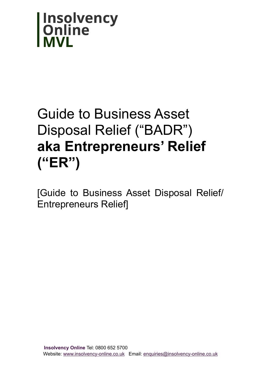

# Guide to Business Asset Disposal Relief ("BADR") **aka Entrepreneurs' Relief ("ER")**

[Guide to Business Asset Disposal Relief/ Entrepreneurs Relief]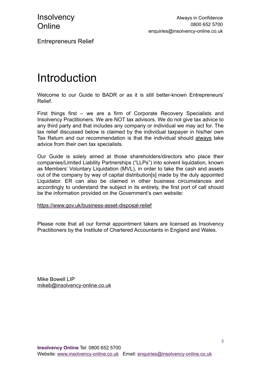Entrepreneurs Relief

## Introduction

Welcome to our Guide to BADR or as it is still better-known Entrepreneurs' Relief.

First things first – we are a firm of Corporate Recovery Specialists and Insolvency Practitioners. We are NOT tax advisors. We do not give tax advice to any third party and that includes any company or individual we may act for. The tax relief discussed below is claimed by the individual taxpayer in his/her own Tax Return and our recommendation is that the individual should always take advice from their own tax specialists.

Our Guide is solely aimed at those shareholders/directors who place their companies/Limited Liability Partnerships ("LLPs") into solvent liquidation, known as Members' Voluntary Liquidation (MVL), in order to take the cash and assets out of the company by way of capital distribution[s] made by the duly appointed Liquidator. ER can also be claimed in other business circumstances and accordingly to understand the subject in its entirety, the first port of call should be the information provided on the Government's own website:

<https://www.gov.uk/business-asset-disposal-relief>

Please note that all our formal appointment takers are licensed as Insolvency Practitioners by the Institute of Chartered Accountants in England and Wales.

Mike Bowell LIP [mikeb@insolvency-online.co.uk](mailto:mikeb@insolvency-online.co.uk)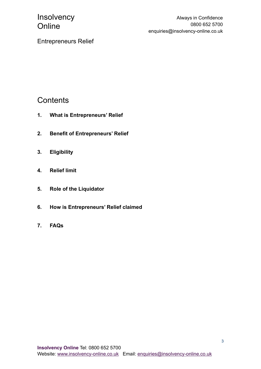Always in Confidence 0800 652 5700 enquiries@insolvency-online.co.uk

Entrepreneurs Relief

#### **Contents**

- **1. What is Entrepreneurs' Relief**
- **2. Benefit of Entrepreneurs' Relief**
- **3. Eligibility**
- **4. Relief limit**
- **5. Role of the Liquidator**
- **6. How is Entrepreneurs' Relief claimed**
- **7. FAQs**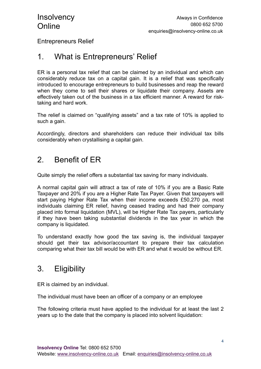Entrepreneurs Relief

#### 1. What is Entrepreneurs' Relief

ER is a personal tax relief that can be claimed by an individual and which can considerably reduce tax on a capital gain. It is a relief that was specifically introduced to encourage entrepreneurs to build businesses and reap the reward when they come to sell their shares or liquidate their company. Assets are effectively taken out of the business in a tax efficient manner. A reward for risktaking and hard work.

The relief is claimed on "qualifying assets" and a tax rate of 10% is applied to such a gain.

Accordingly, directors and shareholders can reduce their individual tax bills considerably when crystallising a capital gain.

#### 2. Benefit of ER

Quite simply the relief offers a substantial tax saving for many individuals.

A normal capital gain will attract a tax of rate of 10% if you are a Basic Rate Taxpayer and 20% if you are a Higher Rate Tax Payer. Given that taxpayers will start paying Higher Rate Tax when their income exceeds £50,270 pa, most individuals claiming ER relief, having ceased trading and had their company placed into formal liquidation (MVL), will be Higher Rate Tax payers, particularly if they have been taking substantial dividends in the tax year in which the company is liquidated.

To understand exactly how good the tax saving is, the individual taxpayer should get their tax advisor/accountant to prepare their tax calculation comparing what their tax bill would be with ER and what it would be without ER.

#### 3. Eligibility

ER is claimed by an individual.

The individual must have been an officer of a company or an employee

The following criteria must have applied to the individual for at least the last 2 years up to the date that the company is placed into solvent liquidation: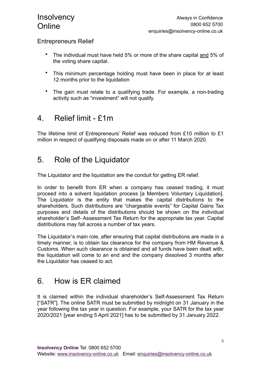#### Entrepreneurs Relief

- The individual must have held 5% or more of the share capital and 5% of the voting share capital.
- This minimum percentage holding must have been in place for at least 12 months prior to the liquidation
- The gain must relate to a qualifying trade. For example, a non-trading activity such as "investment" will not qualify.

#### 4. Relief limit - £1m

The lifetime limit of Entrepreneurs' Relief was reduced from £10 million to £1 million in respect of qualifying disposals made on or after 11 March 2020.

### 5. Role of the Liquidator

The Liquidator and the liquidation are the conduit for getting ER relief.

In order to benefit from ER when a company has ceased trading, it must proceed into a solvent liquidation process [a Members Voluntary Liquidation]. The Liquidator is the entity that makes the capital distributions to the shareholders. Such distributions are "chargeable events" for Capital Gains Tax purposes and details of the distributions should be shown on the individual shareholder's Self- Assessment Tax Return for the appropriate tax year. Capital distributions may fall across a number of tax years.

The Liquidator's main role, after ensuring that capital distributions are made in a timely manner, is to obtain tax clearance for the company from HM Revenue & Customs. When such clearance is obtained and all funds have been dealt with, the liquidation will come to an end and the company dissolved 3 months after the Liquidator has ceased to act.

#### 6. How is ER claimed

It is claimed within the individual shareholder's Self-Assessment Tax Return ["SATR"]. The online SATR must be submitted by midnight on 31 January in the year following the tax year in question. For example, your SATR for the tax year 2020/2021 [year ending 5 April 2021] has to be submitted by 31 January 2022.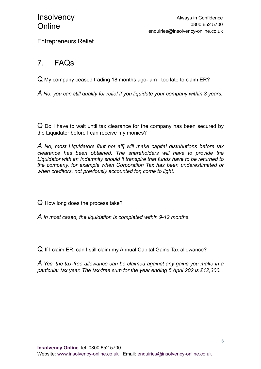Entrepreneurs Relief

### 7. FAQs

 $\Omega$  My company ceased trading 18 months ago- am I too late to claim ER?

*A No, you can still qualify for relief if you liquidate your company within 3 years.*

Q Do I have to wait until tax clearance for the company has been secured by the Liquidator before I can receive my monies?

*A No, most Liquidators [but not all] will make capital distributions before tax clearance has been obtained. The shareholders will have to provide the Liquidator with an Indemnity should it transpire that funds have to be returned to the company, for example when Corporation Tax has been underestimated or when creditors, not previously accounted for, come to light.*

Q How long does the process take?

*A In most cased, the liquidation is completed within 9-12 months.*

Q If I claim ER, can I still claim my Annual Capital Gains Tax allowance?

*A Yes, the tax-free allowance can be claimed against any gains you make in a particular tax year. The tax-free sum for the year ending 5 April 202 is £12,300.*